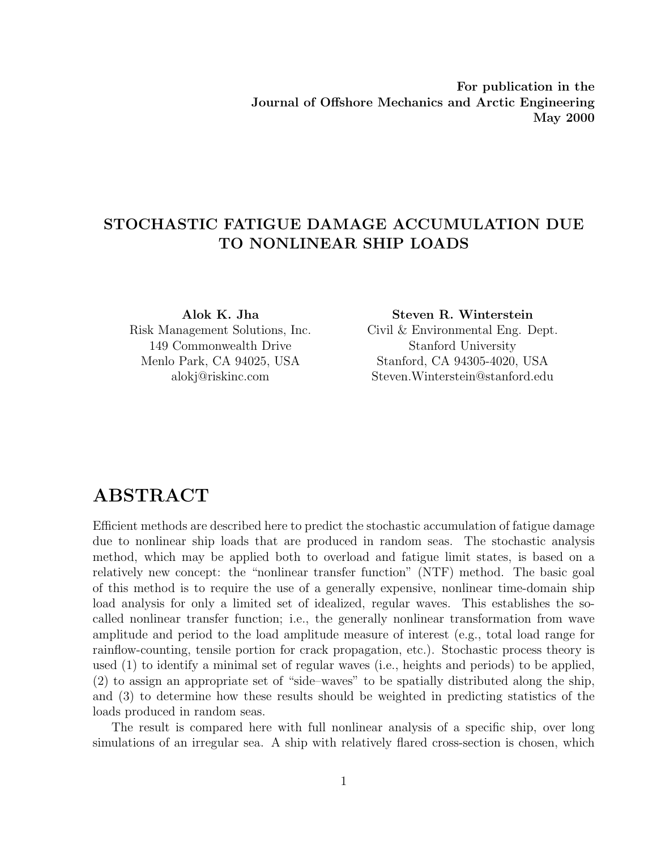**For publication in the Journal of Offshore Mechanics and Arctic Engineering May 2000**

### **STOCHASTIC FATIGUE DAMAGE ACCUMULATION DUE TO NONLINEAR SHIP LOADS**

149 Commonwealth Drive Stanford University

**Alok K. Jha Steven R. Winterstein** Risk Management Solutions, Inc. Civil & Environmental Eng. Dept. Menlo Park, CA 94025, USA Stanford, CA 94305-4020, USA alokj@riskinc.com Steven.Winterstein@stanford.edu

# **ABSTRACT**

Efficient methods are described here to predict the stochastic accumulation offatigue damage due to nonlinear ship loads that are produced in random seas. The stochastic analysis method, which may be applied both to overload and fatigue limit states, is based on a relatively new concept: the "nonlinear transfer function" (NTF) method. The basic goal of this method is to require the use of a generally expensive, nonlinear time-domain ship load analysis for only a limited set of idealized, regular waves. This establishes the socalled nonlinear transfer function; i.e., the generally nonlinear transformation from wave amplitude and period to the load amplitude measure of interest (e.g., total load range for rainflow-counting, tensile portion for crack propagation, etc.). Stochastic process theory is used (1) to identify a minimal set of regular waves (i.e., heights and periods) to be applied,  $(2)$  to assign an appropriate set of "side–waves" to be spatially distributed along the ship, and  $(3)$  to determine how these results should be weighted in predicting statistics of the loads produced in random seas.

The result is compared here with full nonlinear analysis of a specific ship, over long simulations of an irregular sea. A ship with relatively flared cross-section is chosen, which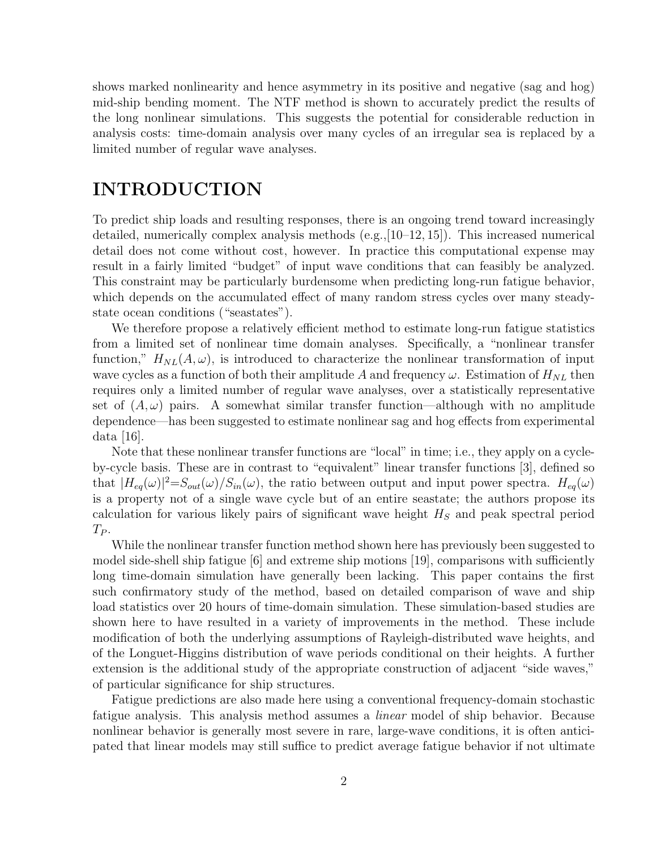shows marked nonlinearity and hence asymmetry in its positive and negative (sag and hog) mid-ship bending moment. The NTF method is shown to accurately predict the results of the long nonlinear simulations. This suggests the potential for considerable reduction in analysis costs: time-domain analysis over many cycles of an irregular sea is replaced by a limited number of regular wave analyses.

# **INTRODUCTION**

To predict ship loads and resulting responses, there is an ongoing trend toward increasingly detailed, numerically complex analysis methods (e.g.,[10–12, 15]). This increased numerical detail does not come without cost, however. In practice this computational expense may result in a fairly limited "budget" of input wave conditions that can feasibly be analyzed. This constraint may be particularly burdensome when predicting long-run fatigue behavior, which depends on the accumulated effect of many random stress cycles over many steadystate ocean conditions ("seastates").

We therefore propose a relatively efficient method to estimate long-run fatigue statistics from a limited set of nonlinear time domain analyses. Specifically, a "nonlinear transfer function,"  $H_{NL}(A,\omega)$ , is introduced to characterize the nonlinear transformation of input wave cycles as a function of both their amplitude A and frequency  $\omega$ . Estimation of  $H_{NL}$  then requires only a limited number of regular wave analyses, over a statistically representative set of  $(A, \omega)$  pairs. A somewhat similar transfer function—although with no amplitude dependence—has been suggested to estimate nonlinear sag and hog effects from experimental data [16].

Note that these nonlinear transfer functions are "local" in time; i.e., they apply on a cycleby-cycle basis. These are in contrast to "equivalent" linear transfer functions [3], defined so that  $|H_{eq}(\omega)|^2 = S_{out}(\omega)/S_{in}(\omega)$ , the ratio between output and input power spectra.  $H_{eq}(\omega)$ is a property not of a single wave cycle but of an entire seastate; the authors propose its calculation for various likely pairs of significant wave height  $H<sub>S</sub>$  and peak spectral period  $T_P$ .

While the nonlinear transfer function method shown here has previously been suggested to model side-shell ship fatigue [6] and extreme ship motions [19], comparisons with sufficiently long time-domain simulation have generally been lacking. This paper contains the first such confirmatory study of the method, based on detailed comparison of wave and ship load statistics over 20 hours of time-domain simulation. These simulation-based studies are shown here to have resulted in a variety of improvements in the method. These include modification of both the underlying assumptions of Rayleigh-distributed wave heights, and of the Longuet-Higgins distribution of wave periods conditional on their heights. A further extension is the additional study of the appropriate construction of adjacent "side waves," of particular significance for ship structures.

Fatigue predictions are also made here using a conventional frequency-domain stochastic fatigue analysis. This analysis method assumes a *linear* model of ship behavior. Because nonlinear behavior is generally most severe in rare, large-wave conditions, it is often anticipated that linear models may still suffice to predict average fatigue behavior if not ultimate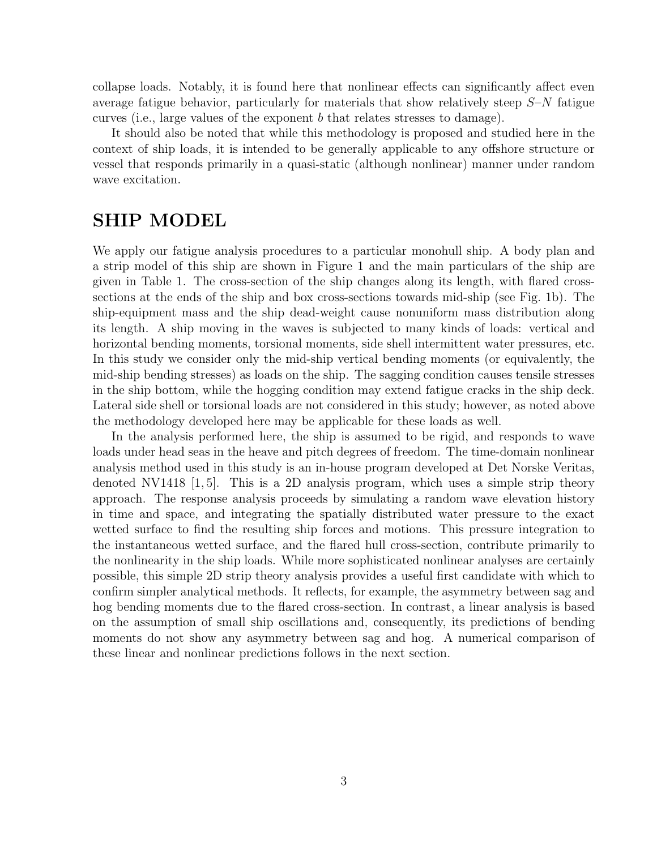collapse loads. Notably, it is found here that nonlinear effects can significantly affect even average fatigue behavior, particularly for materials that show relatively steep  $S-N$  fatigue curves (i.e., large values of the exponent b that relates stresses to damage).

It should also be noted that while this methodology is proposed and studied here in the context of ship loads, it is intended to be generally applicable to any offshore structure or vessel that responds primarily in a quasi-static (although nonlinear) manner under random wave excitation.

# **SHIP MODEL**

We apply our fatigue analysis procedures to a particular monohull ship. A body plan and a strip model of this ship are shown in Figure 1 and the main particulars of the ship are given in Table 1. The cross-section of the ship changes along its length, with flared crosssections at the ends of the ship and box cross-sections towards mid-ship (see Fig. 1b). The ship-equipment mass and the ship dead-weight cause nonuniform mass distribution along its length. A ship moving in the waves is subjected to many kinds of loads: vertical and horizontal bending moments, torsional moments, side shell intermittent water pressures, etc. In this study we consider only the mid-ship vertical bending moments (or equivalently, the mid-ship bending stresses) as loads on the ship. The sagging condition causes tensile stresses in the ship bottom, while the hogging condition may extend fatigue cracks in the ship deck. Lateral side shell or torsional loads are not considered in this study; however, as noted above the methodology developed here may be applicable for these loads as well.

In the analysis performed here, the ship is assumed to be rigid, and responds to wave loads under head seas in the heave and pitch degrees of freedom. The time-domain nonlinear analysis method used in this study is an in-house program developed at Det Norske Veritas, denoted NV1418 [1, 5]. This is a 2D analysis program, which uses a simple strip theory approach. The response analysis proceeds by simulating a random wave elevation history in time and space, and integrating the spatially distributed water pressure to the exact wetted surface to find the resulting ship forces and motions. This pressure integration to the instantaneous wetted surface, and the flared hull cross-section, contribute primarily to the nonlinearity in the ship loads. While more sophisticated nonlinear analyses are certainly possible, this simple 2D strip theory analysis provides a useful first candidate with which to confirm simpler analytical methods. It reflects, for example, the asymmetry between sag and hog bending moments due to the flared cross-section. In contrast, a linear analysis is based on the assumption of small ship oscillations and, consequently, its predictions of bending moments do not show any asymmetry between sag and hog. A numerical comparison of these linear and nonlinear predictions follows in the next section.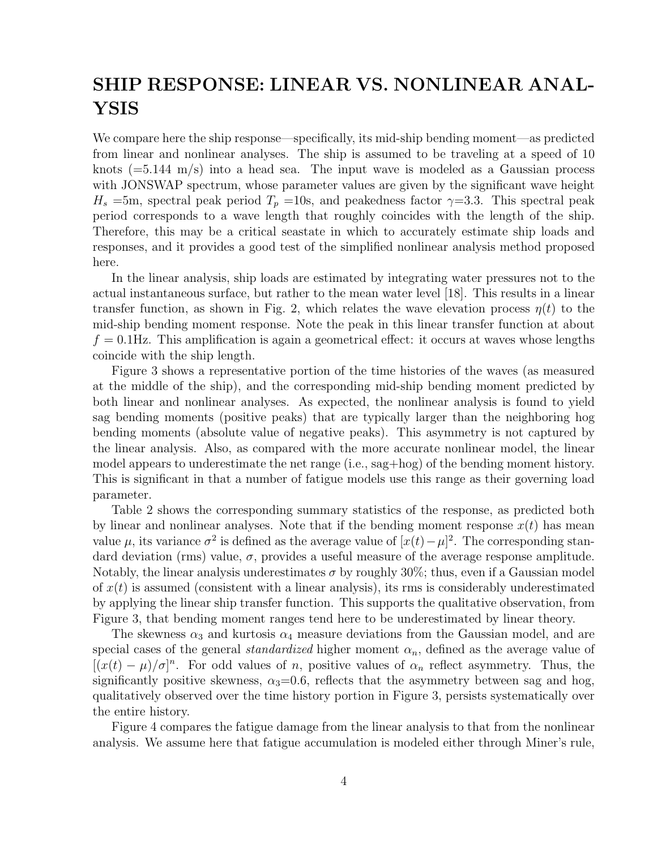# **SHIP RESPONSE: LINEAR VS. NONLINEAR ANAL-YSIS**

We compare here the ship response—specifically, its mid-ship bending moment—as predicted from linear and nonlinear analyses. The ship is assumed to be traveling at a speed of 10 knots  $(=5.144 \text{ m/s})$  into a head sea. The input wave is modeled as a Gaussian process with JONSWAP spectrum, whose parameter values are given by the significant wave height  $H_s$  =5m, spectral peak period  $T_p$  =10s, and peakedness factor  $\gamma$ =3.3. This spectral peak period corresponds to a wave length that roughly coincides with the length of the ship. Therefore, this may be a critical seastate in which to accurately estimate ship loads and responses, and it provides a good test of the simplified nonlinear analysis method proposed here.

In the linear analysis, ship loads are estimated by integrating water pressures not to the actual instantaneous surface, but rather to the mean water level [18]. This results in a linear transfer function, as shown in Fig. 2, which relates the wave elevation process  $\eta(t)$  to the mid-ship bending moment response. Note the peak in this linear transfer function at about  $f = 0.1$ Hz. This amplification is again a geometrical effect: it occurs at waves whose lengths coincide with the ship length.

Figure 3 shows a representative portion of the time histories of the waves (as measured at the middle of the ship), and the corresponding mid-ship bending moment predicted by both linear and nonlinear analyses. As expected, the nonlinear analysis is found to yield sag bending moments (positive peaks) that are typically larger than the neighboring hog bending moments (absolute value of negative peaks). This asymmetry is not captured by the linear analysis. Also, as compared with the more accurate nonlinear model, the linear model appears to underestimate the net range  $(i.e., sag+hog)$  of the bending moment history. This is significant in that a number of fatigue models use this range as their governing load parameter.

Table 2 shows the corresponding summary statistics of the response, as predicted both by linear and nonlinear analyses. Note that if the bending moment response  $x(t)$  has mean value  $\mu$ , its variance  $\sigma^2$  is defined as the average value of  $[x(t)-\mu]^2$ . The corresponding standard deviation (rms) value,  $\sigma$ , provides a useful measure of the average response amplitude. Notably, the linear analysis underestimates  $\sigma$  by roughly 30%; thus, even if a Gaussian model of  $x(t)$  is assumed (consistent with a linear analysis), its rms is considerably underestimated by applying the linear ship transfer function. This supports the qualitative observation, from Figure 3, that bending moment ranges tend here to be underestimated by linear theory.

The skewness  $\alpha_3$  and kurtosis  $\alpha_4$  measure deviations from the Gaussian model, and are special cases of the general *standardized* higher moment  $\alpha_n$ , defined as the average value of  $[(x(t) - \mu)/\sigma]^n$ . For odd values of n, positive values of  $\alpha_n$  reflect asymmetry. Thus, the significantly positive skewness,  $\alpha_3=0.6$ , reflects that the asymmetry between sag and hog, qualitatively observed over the time history portion in Figure 3, persists systematically over the entire history.

Figure 4 compares the fatigue damage from the linear analysis to that from the nonlinear analysis. We assume here that fatigue accumulation is modeled either through Miner's rule,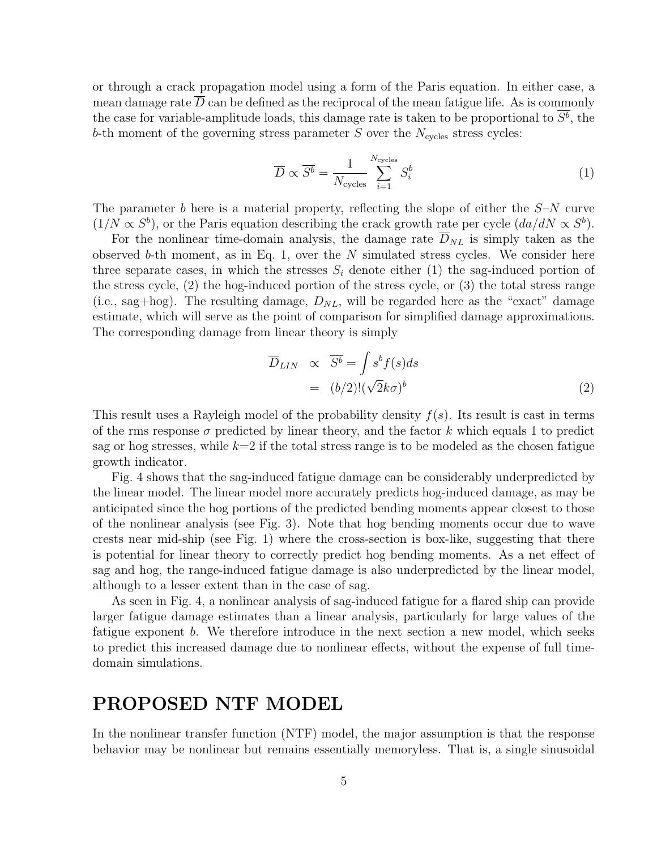or through a crack propagation model using a form of the Paris equation. In either case, a mean damage rate  $D$  can be defined as the reciprocal of the mean fatigue life. As is commonly the case for variable-amplitude loads, this damage rate is taken to be proportional to  $\overline{S^b}$ , the b-th moment of the governing stress parameter  $S$  over the  $N_{\text{cycles}}$  stress cycles:

$$
\overline{D} \propto \overline{S^b} = \frac{1}{N_{\text{cycles}}} \sum_{i=1}^{N_{\text{cycles}}} S_i^b \tag{1}
$$

The parameter b here is a material property, reflecting the slope of either the  $S-N$  curve  $(1/N \propto S^b)$ , or the Paris equation describing the crack growth rate per cycle  $(da/dN \propto S^b)$ .

For the nonlinear time-domain analysis, the damage rate  $\overline{D}_{NL}$  is simply taken as the observed b-th moment, as in Eq. 1, over the  $N$  simulated stress cycles. We consider here three separate cases, in which the stresses  $S_i$  denote either (1) the sag-induced portion of the stress cycle,  $(2)$  the hog-induced portion of the stress cycle, or  $(3)$  the total stress range (i.e., sag+hog). The resulting damage,  $D_{NL}$ , will be regarded here as the "exact" damage estimate, which will serve as the point of comparison for simplified damage approximations. The corresponding damage from linear theory is simply

$$
\overline{D}_{LIN} \propto \overline{S^b} = \int s^b f(s)ds
$$

$$
= (b/2)! (\sqrt{2}k\sigma)^b
$$
(2)

This result uses a Rayleigh model of the probability density  $f(s)$ . Its result is cast in terms of the rms response  $\sigma$  predicted by linear theory, and the factor k which equals 1 to predict sag or hog stresses, while  $k=2$  if the total stress range is to be modeled as the chosen fatigue growth indicator.

Fig. 4 shows that the sag-induced fatigue damage can be considerably underpredicted by the linear model. The linear model more accurately predicts hog-induced damage, as may be anticipated since the hog portions of the predicted bending moments appear closest to those of the nonlinear analysis (see Fig. 3). Note that hog bending moments occur due to wave crests near mid-ship (see Fig. 1) where the cross-section is box-like, suggesting that there is potential for linear theory to correctly predict hog bending moments. As a net effect of sag and hog, the range-induced fatigue damage is also underpredicted by the linear model, although to a lesser extent than in the case of sag.

As seen in Fig. 4, a nonlinear analysis of sag-induced fatigue for a flared ship can provide larger fatigue damage estimates than a linear analysis, particularly for large values of the fatigue exponent b. We therefore introduce in the next section a new model, which seeks to predict this increased damage due to nonlinear effects, without the expense offull timedomain simulations.

# **PROPOSED NTF MODEL**

In the nonlinear transfer function (NTF) model, the major assumption is that the response behavior may be nonlinear but remains essentially memoryless. That is, a single sinusoidal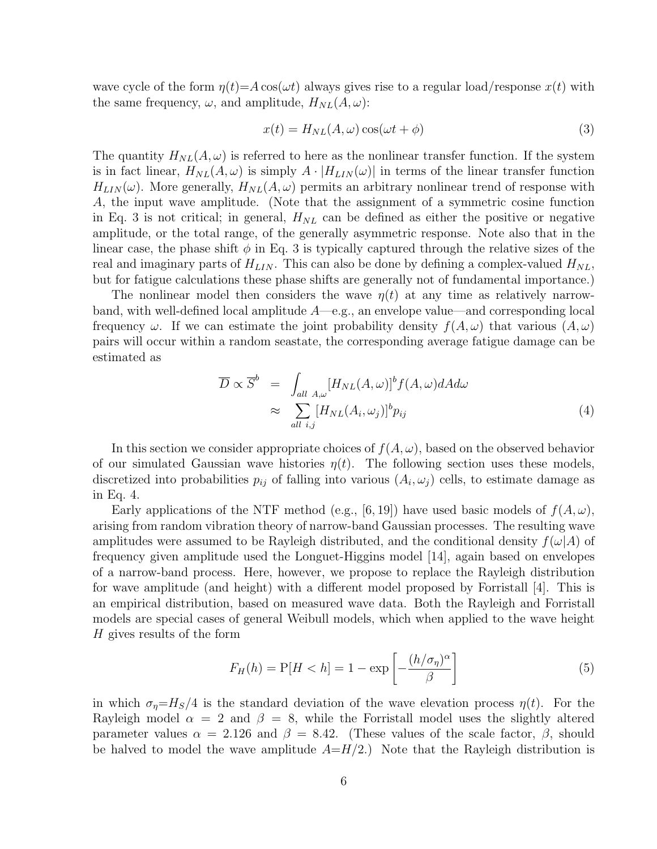wave cycle of the form  $\eta(t) = A \cos(\omega t)$  always gives rise to a regular load/response  $x(t)$  with the same frequency,  $\omega$ , and amplitude,  $H_{NL}(A, \omega)$ :

$$
x(t) = H_{NL}(A,\omega)\cos(\omega t + \phi)
$$
\n(3)

The quantity  $H_{NL}(A, \omega)$  is referred to here as the nonlinear transfer function. If the system is in fact linear,  $H_{NL}(A,\omega)$  is simply  $A \cdot |H_{LIN}(\omega)|$  in terms of the linear transfer function  $H_{LIN}(\omega)$ . More generally,  $H_{NL}(A, \omega)$  permits an arbitrary nonlinear trend of response with A, the input wave amplitude. (Note that the assignment of a symmetric cosine function in Eq. 3 is not critical; in general,  $H_{NL}$  can be defined as either the positive or negative amplitude, or the total range, of the generally asymmetric response. Note also that in the linear case, the phase shift  $\phi$  in Eq. 3 is typically captured through the relative sizes of the real and imaginary parts of  $H_{LIN}$ . This can also be done by defining a complex-valued  $H_{NL}$ , but for fatigue calculations these phase shifts are generally not of fundamental importance.)

The nonlinear model then considers the wave  $\eta(t)$  at any time as relatively narrowband, with well-defined local amplitude  $A$ —e.g., an envelope value—and corresponding local frequency  $\omega$ . If we can estimate the joint probability density  $f(A, \omega)$  that various  $(A, \omega)$ pairs will occur within a random seastate, the corresponding average fatigue damage can be estimated as

$$
\overline{D} \propto \overline{S}^{b} = \int_{all \ A,\omega} [H_{NL}(A,\omega)]^{b} f(A,\omega) dA d\omega
$$
  

$$
\approx \sum_{all \ i,j} [H_{NL}(A_{i},\omega_{j})]^{b} p_{ij}
$$
(4)

In this section we consider appropriate choices of  $f(A, \omega)$ , based on the observed behavior of our simulated Gaussian wave histories  $\eta(t)$ . The following section uses these models, discretized into probabilities  $p_{ij}$  of falling into various  $(A_i, \omega_j)$  cells, to estimate damage as in Eq. 4.

Early applications of the NTF method (e.g., [6, 19]) have used basic models of  $f(A, \omega)$ , arising from random vibration theory of narrow-band Gaussian processes. The resulting wave amplitudes were assumed to be Rayleigh distributed, and the conditional density  $f(\omega|A)$  of frequency given amplitude used the Longuet-Higgins model [14], again based on envelopes ofa narrow-band process. Here, however, we propose to replace the Rayleigh distribution for wave amplitude (and height) with a different model proposed by Forristall  $|4|$ . This is an empirical distribution, based on measured wave data. Both the Rayleigh and Forristall models are special cases of general Weibull models, which when applied to the wave height  $H$  gives results of the form

$$
F_H(h) = P[H < h] = 1 - \exp\left[-\frac{(h/\sigma_\eta)^\alpha}{\beta}\right] \tag{5}
$$

in which  $\sigma_{\eta} = H_s/4$  is the standard deviation of the wave elevation process  $\eta(t)$ . For the Rayleigh model  $\alpha = 2$  and  $\beta = 8$ , while the Forristall model uses the slightly altered parameter values  $\alpha = 2.126$  and  $\beta = 8.42$ . (These values of the scale factor,  $\beta$ , should be halved to model the wave amplitude  $A=H/2$ .) Note that the Rayleigh distribution is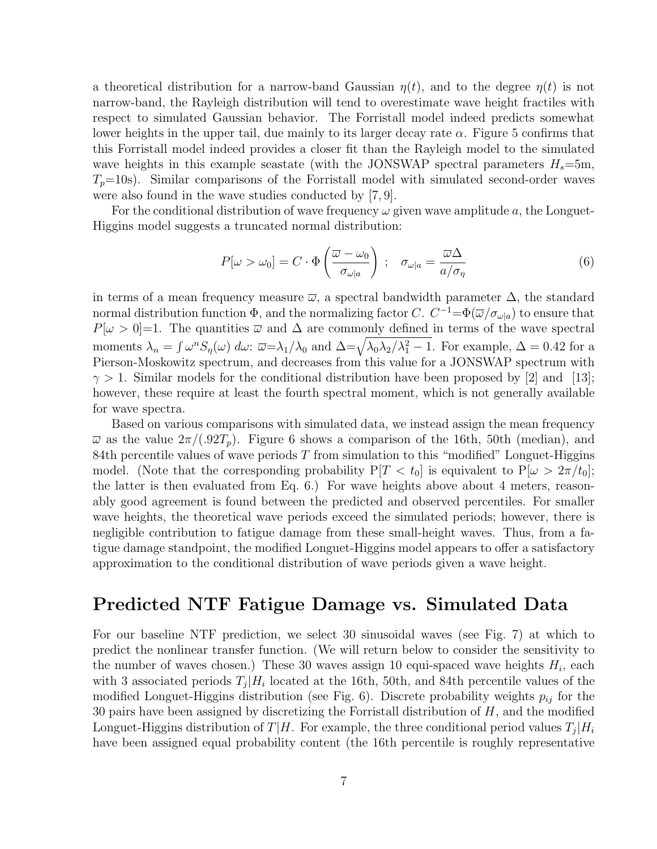a theoretical distribution for a narrow-band Gaussian  $\eta(t)$ , and to the degree  $\eta(t)$  is not narrow-band, the Rayleigh distribution will tend to overestimate wave height fractiles with respect to simulated Gaussian behavior. The Forristall model indeed predicts somewhat lower heights in the upper tail, due mainly to its larger decay rate  $\alpha$ . Figure 5 confirms that this Forristall model indeed provides a closer fit than the Rayleigh model to the simulated wave heights in this example seastate (with the JONSWAP spectral parameters  $H_s=5m$ ,  $T_p=10$ s). Similar comparisons of the Forristall model with simulated second-order waves were also found in the wave studies conducted by [7, 9].

For the conditional distribution of wave frequency  $\omega$  given wave amplitude a, the Longuet-Higgins model suggests a truncated normal distribution:

$$
P[\omega > \omega_0] = C \cdot \Phi\left(\frac{\overline{\omega} - \omega_0}{\sigma_{\omega|a}}\right) \; ; \quad \sigma_{\omega|a} = \frac{\overline{\omega}\Delta}{a/\sigma_{\eta}} \tag{6}
$$

in terms of a mean frequency measure  $\bar{\omega}$ , a spectral bandwidth parameter  $\Delta$ , the standard normal distribution function  $\Phi$ , and the normalizing factor C.  $C^{-1}=\Phi(\overline{\omega}/\sigma_{\omega|a})$  to ensure that  $P[\omega > 0] = 1$ . The quantities  $\overline{\omega}$  and  $\Delta$  are commonly defined in terms of the wave spectral moments  $\lambda_n = \int \omega^n S_{\eta}(\omega) d\omega$ :  $\overline{\omega} = \lambda_1/\lambda_0$  and  $\Delta = \sqrt{\lambda_0 \lambda_2/\lambda_1^2 - 1}$ . For example,  $\Delta = 0.42$  for a Pierson-Moskowitz spectrum, and decreases from this value for a JONSWAP spectrum with  $\gamma > 1$ . Similar models for the conditional distribution have been proposed by [2] and [13]; however, these require at least the fourth spectral moment, which is not generally available for wave spectra.

Based on various comparisons with simulated data, we instead assign the mean frequency  $\overline{\omega}$  as the value  $2\pi/(.92T_p)$ . Figure 6 shows a comparison of the 16th, 50th (median), and 84th percentile values of wave periods  $T$  from simulation to this "modified" Longuet-Higgins model. (Note that the corresponding probability  $P[T < t_0]$  is equivalent to  $P[\omega > 2\pi/t_0]$ ; the latter is then evaluated from Eq. 6.) For wave heights above about 4 meters, reasonably good agreement is found between the predicted and observed percentiles. For smaller wave heights, the theoretical wave periods exceed the simulated periods; however, there is negligible contribution to fatigue damage from these small-height waves. Thus, from a fatigue damage standpoint, the modified Longuet-Higgins model appears to offer a satisfactory approximation to the conditional distribution of wave periods given a wave height.

### **Predicted NTF Fatigue Damage vs. Simulated Data**

For our baseline NTF prediction, we select 30 sinusoidal waves (see Fig. 7) at which to predict the nonlinear transfer function. (We will return below to consider the sensitivity to the number of waves chosen.) These 30 waves assign 10 equi-spaced wave heights  $H_i$ , each with 3 associated periods  $T_i | H_i$  located at the 16th, 50th, and 84th percentile values of the modified Longuet-Higgins distribution (see Fig. 6). Discrete probability weights  $p_{ij}$  for the 30 pairs have been assigned by discretizing the Forristall distribution of  $H$ , and the modified Longuet-Higgins distribution of  $T/H$ . For example, the three conditional period values  $T_i|H_i$ have been assigned equal probability content (the 16th percentile is roughly representative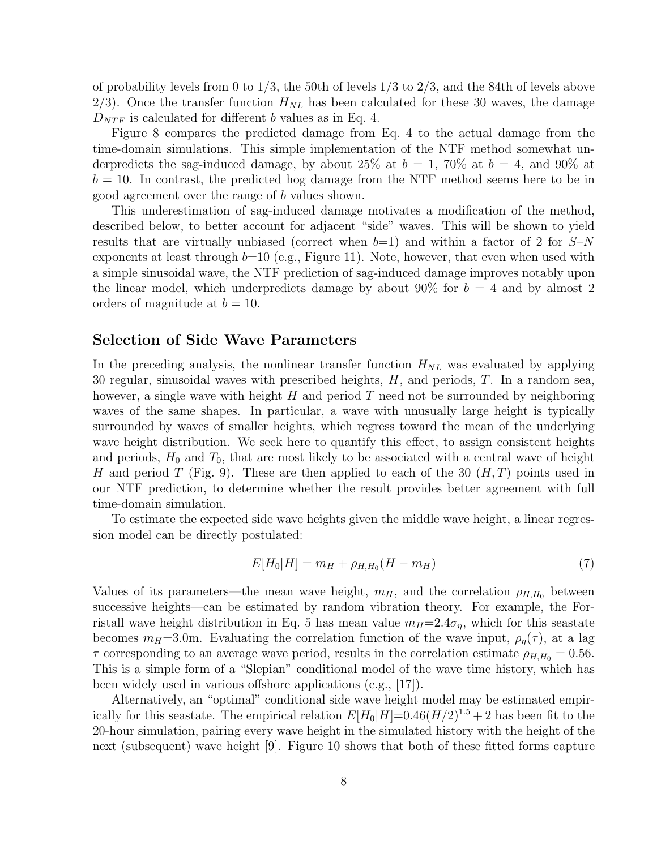of probability levels from 0 to  $1/3$ , the 50th of levels  $1/3$  to  $2/3$ , and the 84th of levels above 2/3). Once the transfer function  $H_{NL}$  has been calculated for these 30 waves, the damage  $D_{NTF}$  is calculated for different b values as in Eq. 4.

Figure 8 compares the predicted damage from Eq. 4 to the actual damage from the time-domain simulations. This simple implementation of the NTF method somewhat underpredicts the sag-induced damage, by about 25% at  $b = 1$ , 70% at  $b = 4$ , and 90% at  $b = 10$ . In contrast, the predicted hog damage from the NTF method seems here to be in good agreement over the range of b values shown.

This underestimation of sag-induced damage motivates a modification of the method, described below, to better account for adjacent "side" waves. This will be shown to yield results that are virtually unbiased (correct when  $b=1$ ) and within a factor of 2 for  $S-N$ exponents at least through  $b=10$  (e.g., Figure 11). Note, however, that even when used with a simple sinusoidal wave, the NTF prediction of sag-induced damage improves notably upon the linear model, which underpredicts damage by about 90% for  $b = 4$  and by almost 2 orders of magnitude at  $b = 10$ .

#### **Selection of Side Wave Parameters**

In the preceding analysis, the nonlinear transfer function  $H_{NL}$  was evaluated by applying 30 regular, sinusoidal waves with prescribed heights,  $H$ , and periods,  $T$ . In a random sea, however, a single wave with height  $H$  and period  $T$  need not be surrounded by neighboring waves of the same shapes. In particular, a wave with unusually large height is typically surrounded by waves of smaller heights, which regress toward the mean of the underlying wave height distribution. We seek here to quantify this effect, to assign consistent heights and periods,  $H_0$  and  $T_0$ , that are most likely to be associated with a central wave of height H and period T (Fig. 9). These are then applied to each of the 30  $(H, T)$  points used in our NTF prediction, to determine whether the result provides better agreement with full time-domain simulation.

To estimate the expected side wave heights given the middle wave height, a linear regression model can be directly postulated:

$$
E[H_0|H] = m_H + \rho_{H,H_0}(H - m_H) \tag{7}
$$

Values of its parameters—the mean wave height,  $m_H$ , and the correlation  $\rho_{H,H_0}$  between successive heights—can be estimated by random vibration theory. For example, the Forristall wave height distribution in Eq. 5 has mean value  $m_H=2.4\sigma_\eta$ , which for this seastate becomes  $m_H=3.0$ m. Evaluating the correlation function of the wave input,  $\rho_\eta(\tau)$ , at a lag  $\tau$  corresponding to an average wave period, results in the correlation estimate  $\rho_{H,H_0} = 0.56$ . This is a simple form of a "Slepian" conditional model of the wave time history, which has been widely used in various offshore applications (e.g., [17]).

Alternatively, an "optimal" conditional side wave height model may be estimated empirically for this seastate. The empirical relation  $E[H_0|H]=0.46(H/2)^{1.5}+2$  has been fit to the 20-hour simulation, pairing every wave height in the simulated history with the height of the next (subsequent) wave height  $[9]$ . Figure 10 shows that both of these fitted forms capture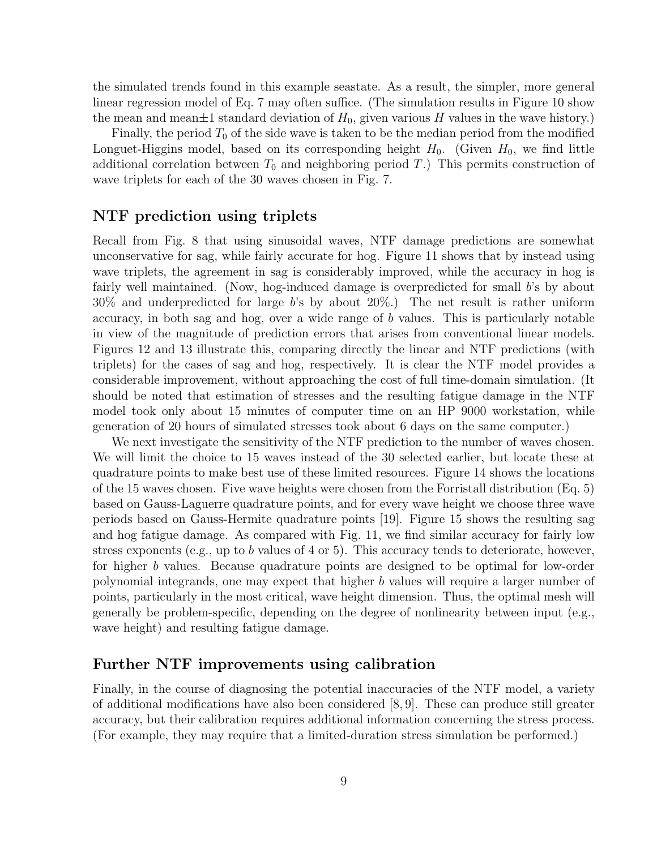the simulated trends found in this example seastate. As a result, the simpler, more general linear regression model of Eq. 7 may often suffice. (The simulation results in Figure 10 show the mean and mean $\pm 1$  standard deviation of  $H_0$ , given various H values in the wave history.)

Finally, the period  $T_0$  of the side wave is taken to be the median period from the modified Longuet-Higgins model, based on its corresponding height  $H_0$ . (Given  $H_0$ , we find little additional correlation between  $T_0$  and neighboring period T.) This permits construction of wave triplets for each of the 30 waves chosen in Fig. 7.

#### **NTF prediction using triplets**

Recall from Fig. 8 that using sinusoidal waves, NTF damage predictions are somewhat unconservative for sag, while fairly accurate for hog. Figure 11 shows that by instead using wave triplets, the agreement in sag is considerably improved, while the accuracy in hog is fairly well maintained. (Now, hog-induced damage is overpredicted for small b's by about 30% and underpredicted for large b's by about 20%.) The net result is rather uniform accuracy, in both sag and hog, over a wide range of b values. This is particularly notable in view of the magnitude of prediction errors that arises from conventional linear models. Figures 12 and 13 illustrate this, comparing directly the linear and NTF predictions (with triplets) for the cases of sag and hog, respectively. It is clear the NTF model provides a considerable improvement, without approaching the cost of full time-domain simulation. (It should be noted that estimation of stresses and the resulting fatigue damage in the NTF model took only about 15 minutes of computer time on an HP 9000 workstation, while generation of 20 hours of simulated stresses took about 6 days on the same computer.)

We next investigate the sensitivity of the NTF prediction to the number of waves chosen. We will limit the choice to 15 waves instead of the 30 selected earlier, but locate these at quadrature points to make best use of these limited resources. Figure 14 shows the locations of the 15 waves chosen. Five wave heights were chosen from the Forristall distribution  $(Eq, 5)$ based on Gauss-Laguerre quadrature points, and for every wave height we choose three wave periods based on Gauss-Hermite quadrature points [19]. Figure 15 shows the resulting sag and hog fatigue damage. As compared with Fig. 11, we find similar accuracy for fairly low stress exponents (e.g., up to b values of 4 or 5). This accuracy tends to deteriorate, however, for higher b values. Because quadrature points are designed to be optimal for low-order polynomial integrands, one may expect that higher b values will require a larger number of points, particularly in the most critical, wave height dimension. Thus, the optimal mesh will generally be problem-specific, depending on the degree of nonlinearity between input  $(e.g.,)$ wave height) and resulting fatigue damage.

#### **Further NTF improvements using calibration**

Finally, in the course of diagnosing the potential inaccuracies of the NTF model, a variety of additional modifications have also been considered  $(8, 9]$ . These can produce still greater accuracy, but their calibration requires additional information concerning the stress process. (For example, they may require that a limited-duration stress simulation be performed.)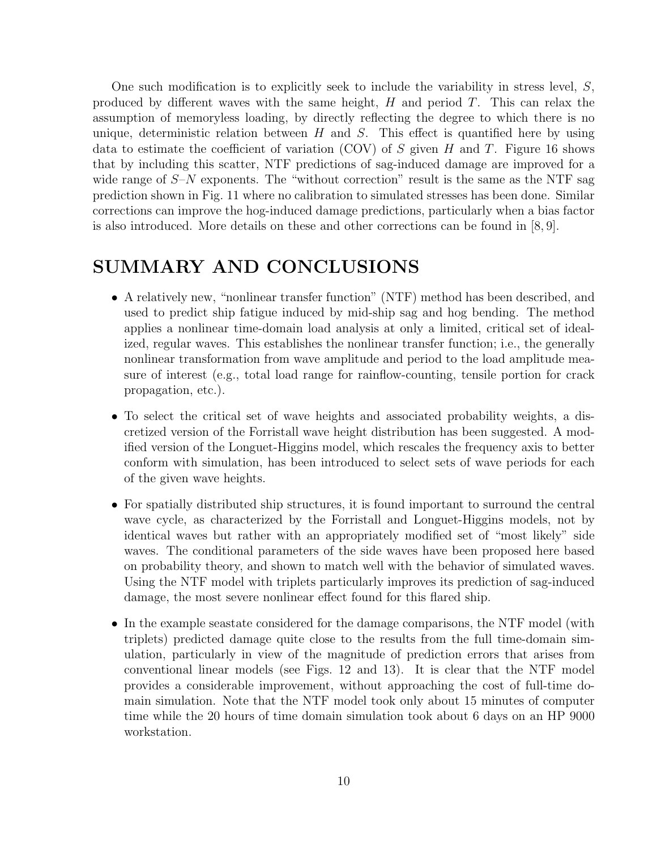One such modification is to explicitly seek to include the variability in stress level,  $S$ , produced by different waves with the same height,  $H$  and period  $T$ . This can relax the assumption of memoryless loading, by directly reflecting the degree to which there is no unique, deterministic relation between  $H$  and  $S$ . This effect is quantified here by using data to estimate the coefficient of variation (COV) of S given H and T. Figure 16 shows that by including this scatter, NTF predictions of sag-induced damage are improved for a wide range of  $S-N$  exponents. The "without correction" result is the same as the NTF sag prediction shown in Fig. 11 where no calibration to simulated stresses has been done. Similar corrections can improve the hog-induced damage predictions, particularly when a bias factor is also introduced. More details on these and other corrections can be found in [8, 9].

# **SUMMARY AND CONCLUSIONS**

- A relatively new, "nonlinear transfer function" (NTF) method has been described, and used to predict ship fatigue induced by mid-ship sag and hog bending. The method applies a nonlinear time-domain load analysis at only a limited, critical set of idealized, regular waves. This establishes the nonlinear transfer function; i.e., the generally nonlinear transformation from wave amplitude and period to the load amplitude measure of interest (e.g., total load range for rainflow-counting, tensile portion for crack propagation, etc.).
- To select the critical set of wave heights and associated probability weights, a discretized version of the Forristall wave height distribution has been suggested. A modified version of the Longuet-Higgins model, which rescales the frequency axis to better conform with simulation, has been introduced to select sets of wave periods for each of the given wave heights.
- For spatially distributed ship structures, it is found important to surround the central wave cycle, as characterized by the Forristall and Longuet-Higgins models, not by identical waves but rather with an appropriately modified set of"most likely" side waves. The conditional parameters of the side waves have been proposed here based on probability theory, and shown to match well with the behavior of simulated waves. Using the NTF model with triplets particularly improves its prediction of sag-induced damage, the most severe nonlinear effect found for this flared ship.
- In the example seastate considered for the damage comparisons, the NTF model (with triplets) predicted damage quite close to the results from the full time-domain simulation, particularly in view of the magnitude of prediction errors that arises from conventional linear models (see Figs. 12 and 13). It is clear that the NTF model provides a considerable improvement, without approaching the cost offull-time domain simulation. Note that the NTF model took only about 15 minutes of computer time while the 20 hours of time domain simulation took about 6 days on an HP 9000 workstation.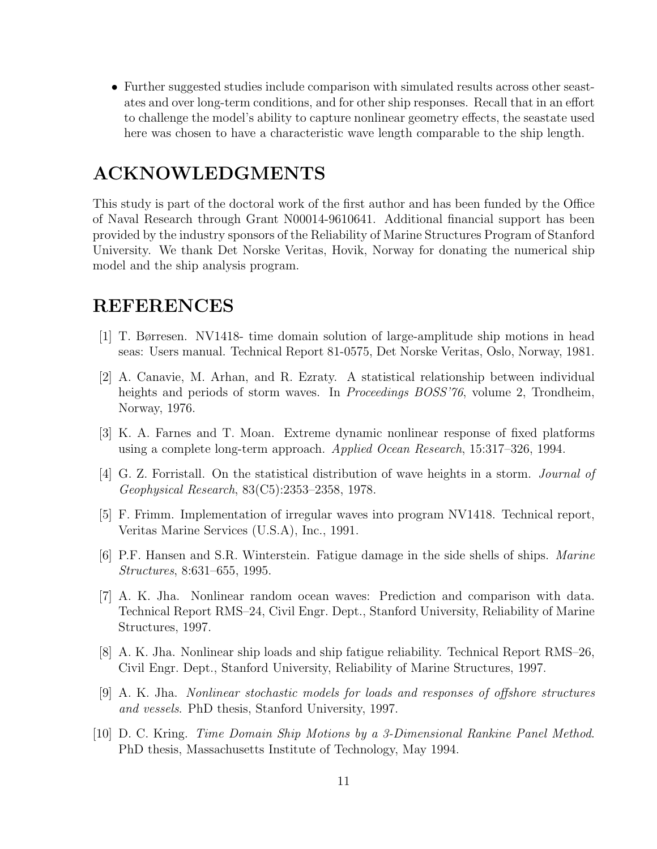• Further suggested studies include comparison with simulated results across other seastates and over long-term conditions, and for other ship responses. Recall that in an effort to challenge the model's ability to capture nonlinear geometry effects, the seastate used here was chosen to have a characteristic wave length comparable to the ship length.

# **ACKNOWLEDGMENTS**

This study is part of the doctoral work of the first author and has been funded by the Office of Naval Research through Grant N00014-9610641. Additional financial support has been provided by the industry sponsors of the Reliability of Marine Structures Program of Stanford University. We thank Det Norske Veritas, Hovik, Norway for donating the numerical ship model and the ship analysis program.

# **REFERENCES**

- [1] T. Børresen. NV1418- time domain solution oflarge-amplitude ship motions in head seas: Users manual. Technical Report 81-0575, Det Norske Veritas, Oslo, Norway, 1981.
- [2] A. Canavie, M. Arhan, and R. Ezraty. A statistical relationship between individual heights and periods of storm waves. In *Proceedings BOSS'76*, volume 2, Trondheim, Norway, 1976.
- [3] K. A. Farnes and T. Moan. Extreme dynamic nonlinear response of fixed platforms using a complete long-term approach. Applied Ocean Research, 15:317–326, 1994.
- [4] G. Z. Forristall. On the statistical distribution of wave heights in a storm. *Journal of* Geophysical Research, 83(C5):2353–2358, 1978.
- [5] F. Frimm. Implementation of irregular waves into program NV1418. Technical report, Veritas Marine Services (U.S.A), Inc., 1991.
- [6] P.F. Hansen and S.R. Winterstein. Fatigue damage in the side shells of ships. *Marine* Structures, 8:631–655, 1995.
- [7] A. K. Jha. Nonlinear random ocean waves: Prediction and comparison with data. Technical Report RMS–24, Civil Engr. Dept., Stanford University, Reliability of Marine Structures, 1997.
- [8] A. K. Jha. Nonlinear ship loads and ship fatigue reliability. Technical Report RMS–26, Civil Engr. Dept., Stanford University, Reliability of Marine Structures, 1997.
- [9] A. K. Jha. Nonlinear stochastic models for loads and responses of offshore structures and vessels. PhD thesis, Stanford University, 1997.
- [10] D. C. Kring. Time Domain Ship Motions by a 3-Dimensional Rankine Panel Method. PhD thesis, Massachusetts Institute of Technology, May 1994.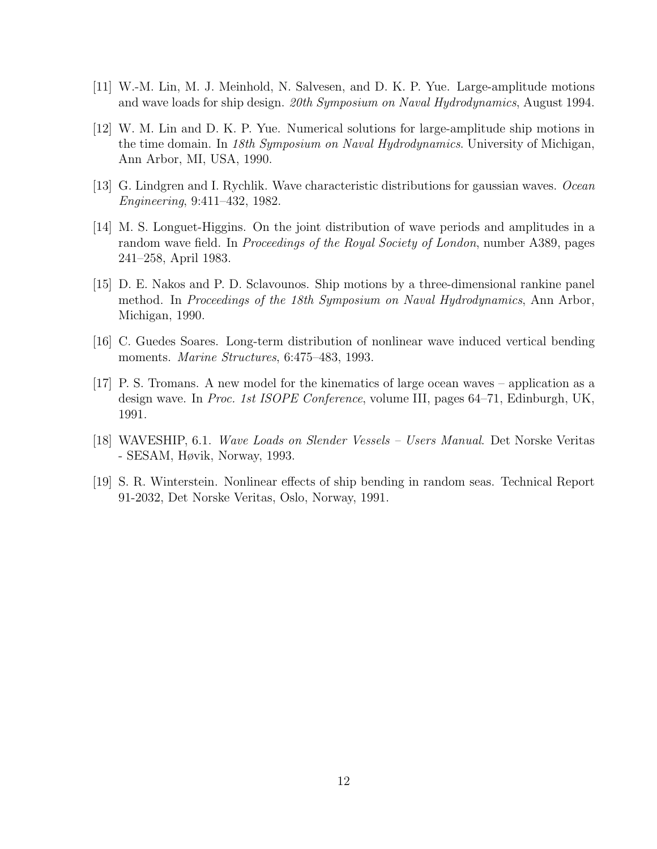- [11] W.-M. Lin, M. J. Meinhold, N. Salvesen, and D. K. P. Yue. Large-amplitude motions and wave loads for ship design. 20th Symposium on Naval Hydrodynamics, August 1994.
- [12] W. M. Lin and D. K. P. Yue. Numerical solutions for large-amplitude ship motions in the time domain. In 18th Symposium on Naval Hydrodynamics. University of Michigan, Ann Arbor, MI, USA, 1990.
- [13] G. Lindgren and I. Rychlik. Wave characteristic distributions for gaussian waves. Ocean Engineering, 9:411–432, 1982.
- [14] M. S. Longuet-Higgins. On the joint distribution ofwave periods and amplitudes in a random wave field. In *Proceedings of the Royal Society of London*, number A389, pages 241–258, April 1983.
- [15] D. E. Nakos and P. D. Sclavounos. Ship motions by a three-dimensional rankine panel method. In Proceedings of the 18th Symposium on Naval Hydrodynamics, Ann Arbor, Michigan, 1990.
- [16] C. Guedes Soares. Long-term distribution of nonlinear wave induced vertical bending moments. *Marine Structures*, 6:475–483, 1993.
- [17] P. S. Tromans. A new model for the kinematics of large ocean waves application as a design wave. In Proc. 1st ISOPE Conference, volume III, pages 64–71, Edinburgh, UK, 1991.
- [18] WAVESHIP, 6.1. Wave Loads on Slender Vessels Users Manual. Det Norske Veritas - SESAM, Høvik, Norway, 1993.
- [19] S. R. Winterstein. Nonlinear effects ofship bending in random seas. Technical Report 91-2032, Det Norske Veritas, Oslo, Norway, 1991.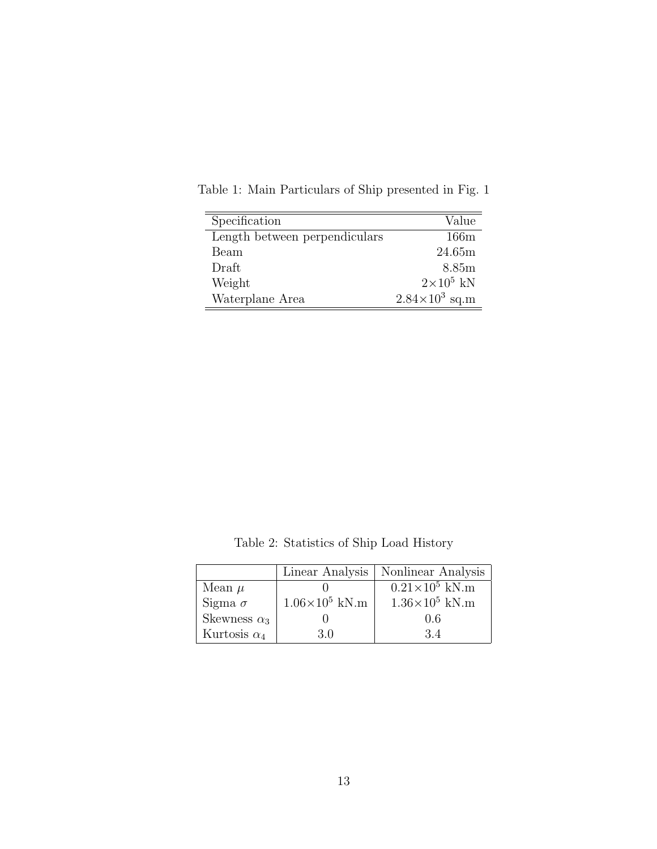| Specification                 | Value                   |
|-------------------------------|-------------------------|
| Length between perpendiculars | 166m                    |
| Beam                          | 24.65m                  |
| Draft                         | 8.85 <sub>m</sub>       |
| Weight                        | $2\times10^5$ kN        |
| Waterplane Area               | $2.84 \times 10^3$ sq.m |

Table 1: Main Particulars of Ship presented in Fig.  $1\,$ 

Table 2: Statistics of Ship Load History

|                     |                         | Linear Analysis   Nonlinear Analysis |
|---------------------|-------------------------|--------------------------------------|
| Mean $\mu$          |                         | $0.21\times10^5$ kN.m                |
| Sigma $\sigma$      | $1.06\times10^{5}$ kN.m | $1.36\times10^{5}$ kN.m              |
| Skewness $\alpha_3$ |                         | 0.6                                  |
| Kurtosis $\alpha_4$ | 30                      | 34                                   |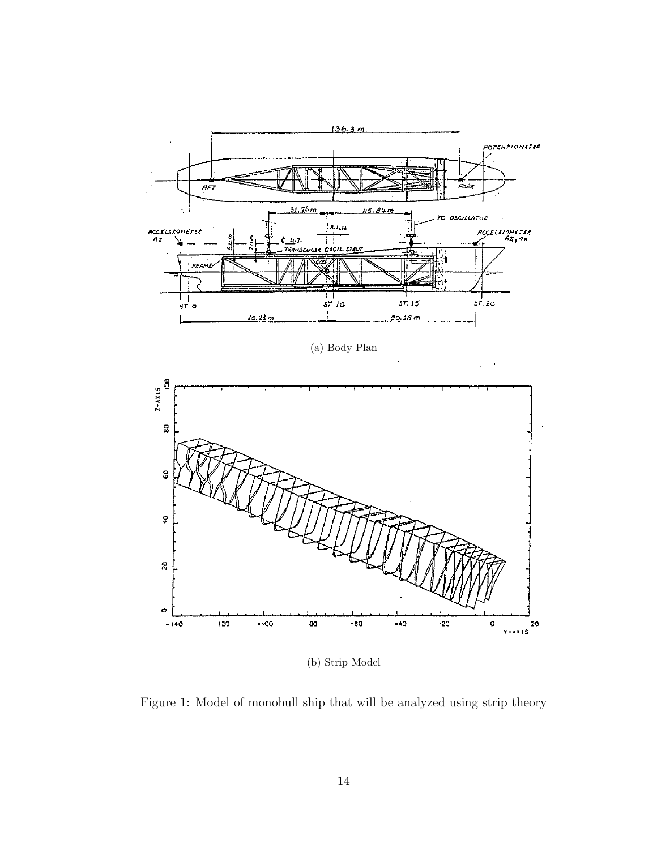

(a) Body Plan

 $\bar{z}$ 



(b) Strip Model

Figure 1: Model of monohull ship that will be analyzed using strip theory  $\hspace{0.01em}$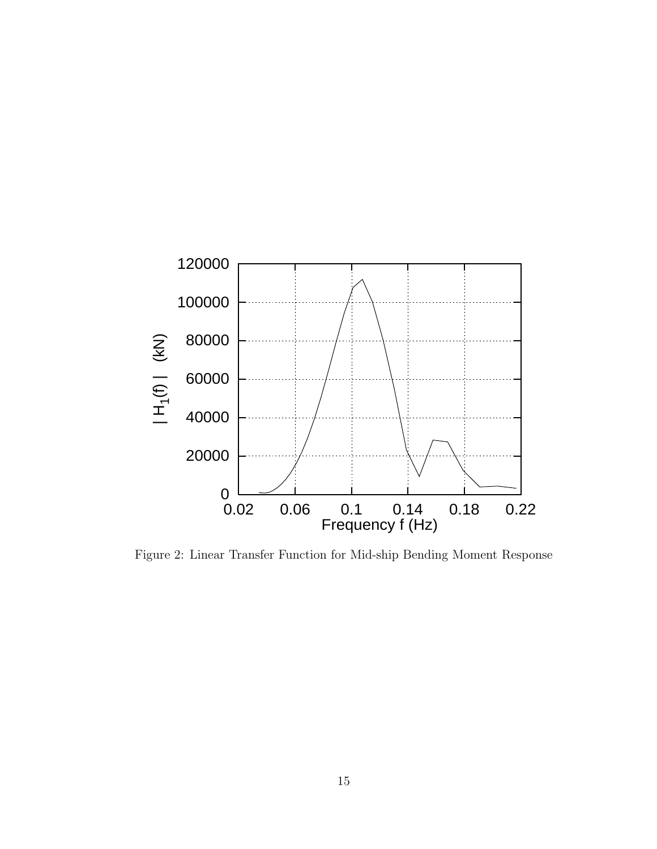

Figure 2: Linear Transfer Function for Mid-ship Bending Moment Response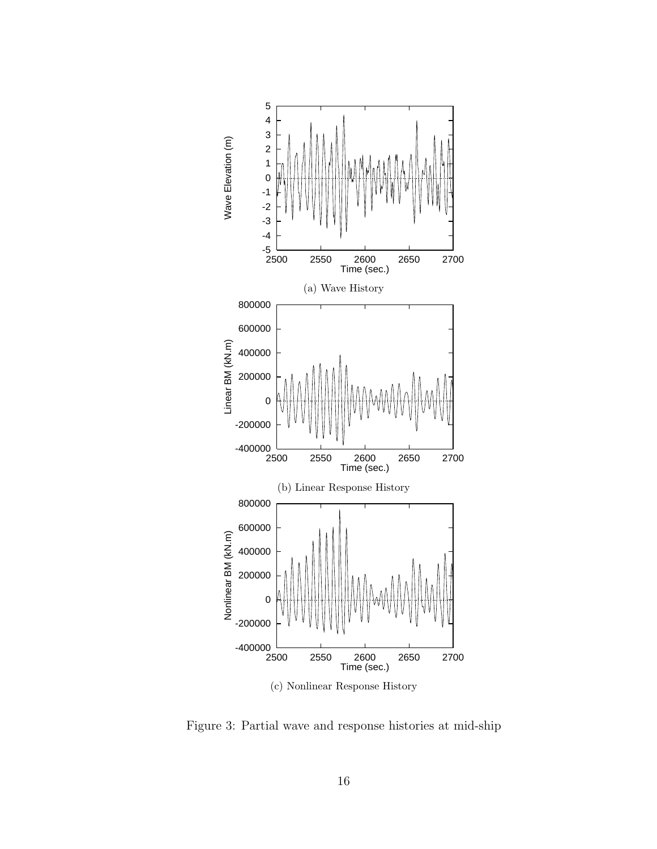

Figure 3: Partial wave and response histories at mid-ship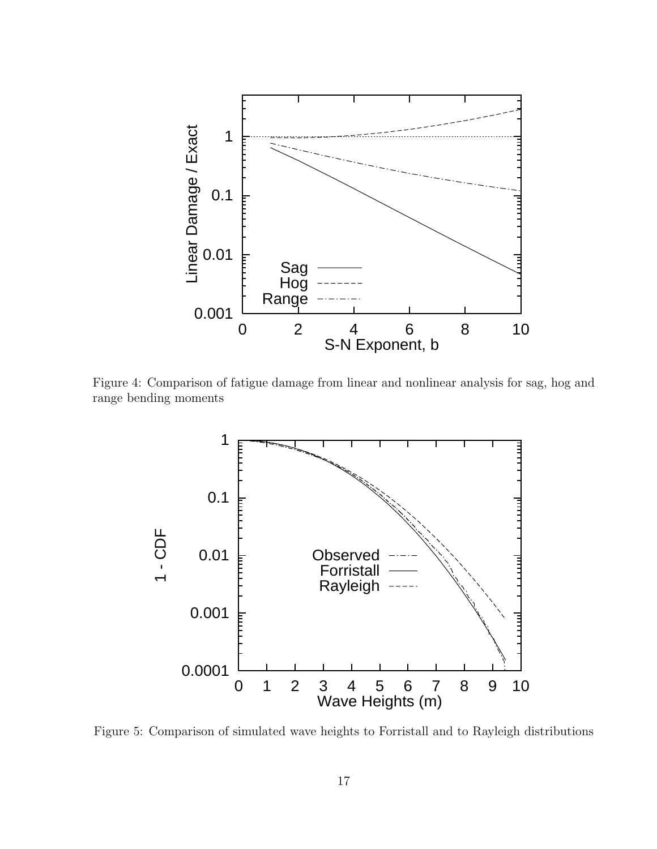

Figure 4: Comparison of fatigue damage from linear and nonlinear analysis for sag, hog and range bending moments



Figure 5: Comparison of simulated wave heights to Forristall and to Rayleigh distributions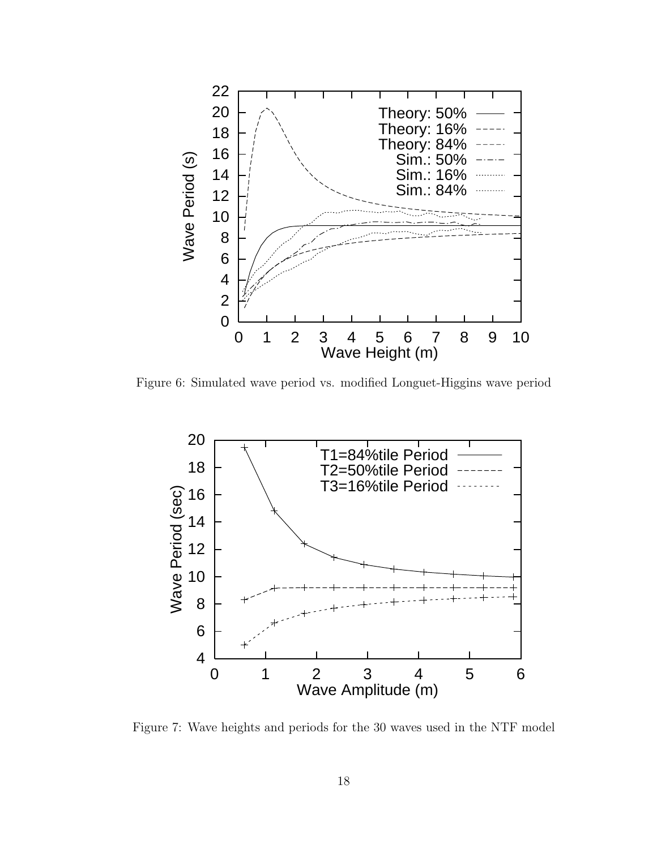

Figure 6: Simulated wave period vs. modified Longuet-Higgins wave period



Figure 7: Wave heights and periods for the 30 waves used in the NTF model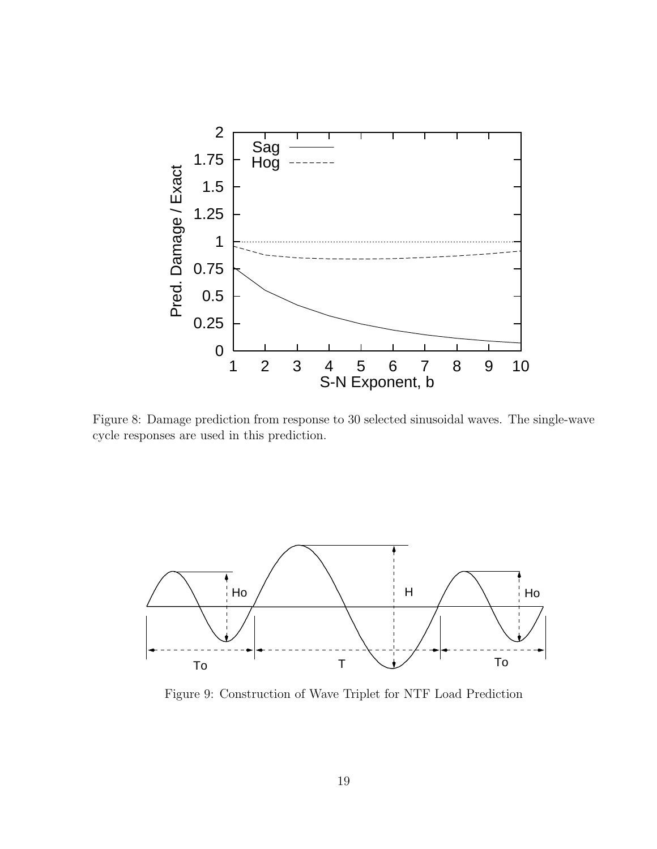

Figure 8: Damage prediction from response to 30 selected sinusoidal waves. The single-wave cycle responses are used in this prediction.



Figure 9: Construction of Wave Triplet for NTF Load Prediction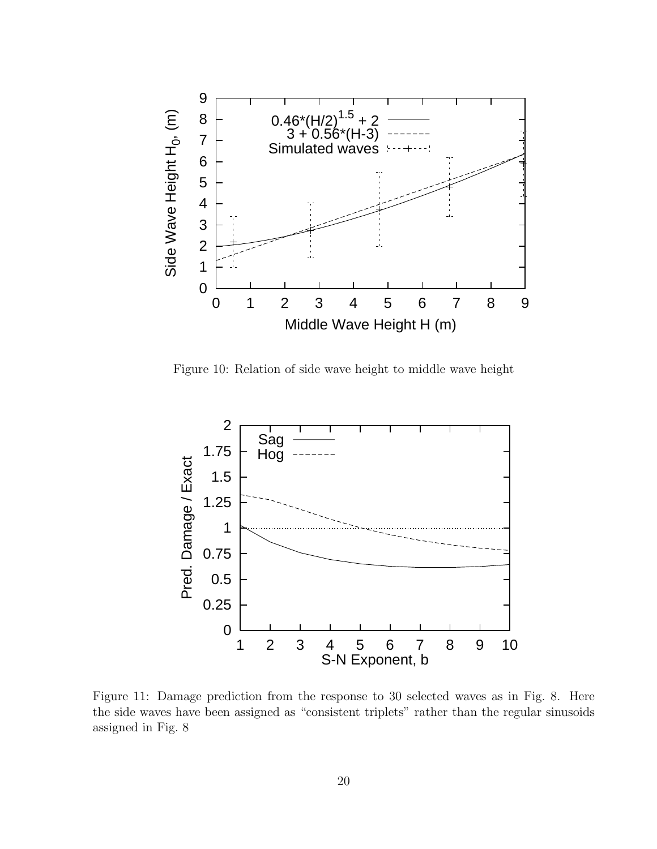

Figure 10: Relation of side wave height to middle wave height



Figure 11: Damage prediction from the response to 30 selected waves as in Fig. 8. Here the side waves have been assigned as "consistent triplets" rather than the regular sinusoids assigned in Fig. 8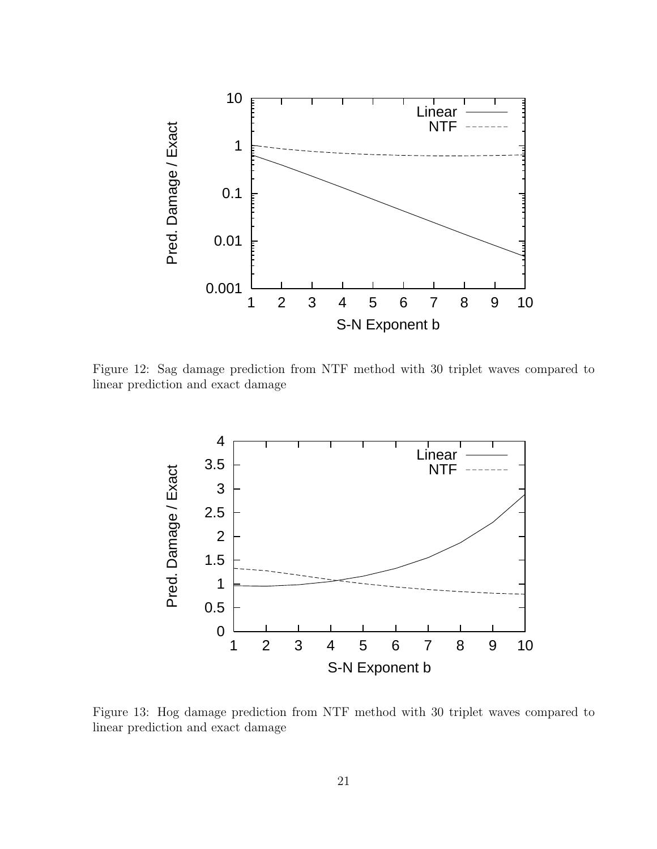

Figure 12: Sag damage prediction from NTF method with 30 triplet waves compared to linear prediction and exact damage



Figure 13: Hog damage prediction from NTF method with 30 triplet waves compared to linear prediction and exact damage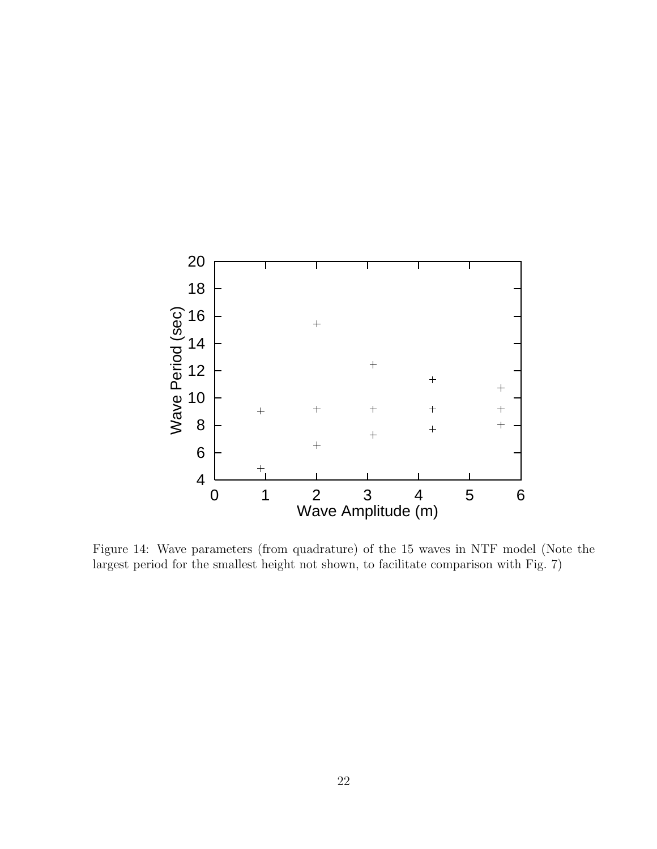

Figure 14: Wave parameters (from quadrature) of the 15 waves in NTF model (Note the largest period for the smallest height not shown, to facilitate comparison with Fig. 7)